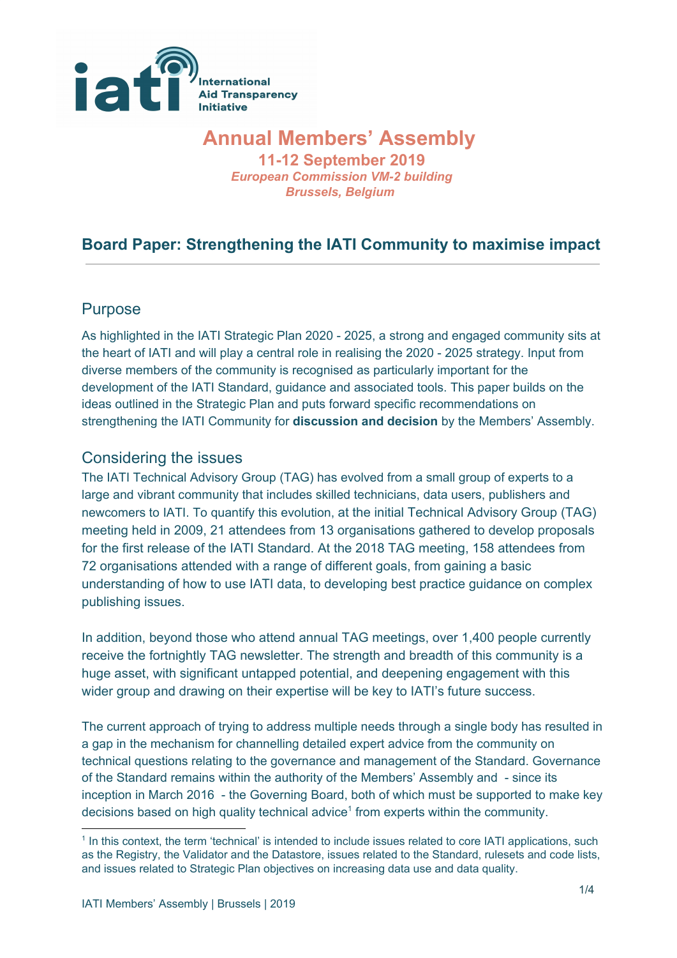

# **Annual Members' Assembly**

**11-12 September 2019** *European Commission VM-2 building Brussels, Belgium*

# **Board Paper: Strengthening the IATI Community to maximise impact**

#### Purpose

As highlighted in the IATI Strategic Plan 2020 - 2025, a strong and engaged community sits at the heart of IATI and will play a central role in realising the 2020 - 2025 strategy. Input from diverse members of the community is recognised as particularly important for the development of the IATI Standard, guidance and associated tools. This paper builds on the ideas outlined in the Strategic Plan and puts forward specific recommendations on strengthening the IATI Community for **discussion and decision** by the Members' Assembly.

#### Considering the issues

The IATI Technical Advisory Group (TAG) has evolved from a small group of experts to a large and vibrant community that includes skilled technicians, data users, publishers and newcomers to IATI. To quantify this evolution, at the initial Technical Advisory Group (TAG) meeting held in 2009, 21 attendees from 13 organisations gathered to develop proposals for the first release of the IATI Standard. At the 2018 TAG meeting, 158 attendees from 72 organisations attended with a range of different goals, from gaining a basic understanding of how to use IATI data, to developing best practice guidance on complex publishing issues.

In addition, beyond those who attend annual TAG meetings, over 1,400 people currently receive the fortnightly TAG newsletter. The strength and breadth of this community is a huge asset, with significant untapped potential, and deepening engagement with this wider group and drawing on their expertise will be key to IATI's future success.

The current approach of trying to address multiple needs through a single body has resulted in a gap in the mechanism for channelling detailed expert advice from the community on technical questions relating to the governance and management of the Standard. Governance of the Standard remains within the authority of the Members' Assembly and - since its inception in March 2016 - the Governing Board, both of which must be supported to make key decisions based on high quality technical advice<sup>1</sup> from experts within the community.

<sup>&</sup>lt;sup>1</sup> In this context, the term 'technical' is intended to include issues related to core IATI applications, such as the Registry, the Validator and the Datastore, issues related to the Standard, rulesets and code lists, and issues related to Strategic Plan objectives on increasing data use and data quality.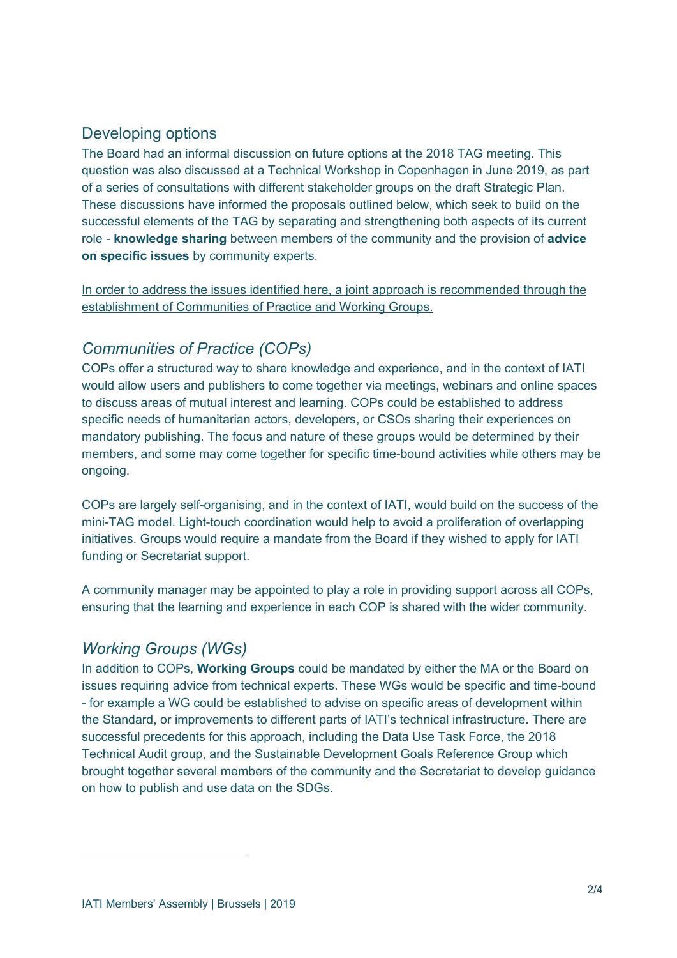## Developing options

The Board had an informal discussion on future options at the 2018 TAG meeting. This question was also discussed at a Technical Workshop in Copenhagen in June 2019, as part of a series of consultations with different stakeholder groups on the draft Strategic Plan. These discussions have informed the proposals outlined below, which seek to build on the successful elements of the TAG by separating and strengthening both aspects of its current role - **knowledge sharing** between members of the community and the provision of **advice on specific issues** by community experts.

In order to address the issues identified here, a joint approach is recommended through the establishment of Communities of Practice and Working Groups.

# *Communities of Practice (COPs)*

COPs offer a structured way to share knowledge and experience, and in the context of IATI would allow users and publishers to come together via meetings, webinars and online spaces to discuss areas of mutual interest and learning. COPs could be established to address specific needs of humanitarian actors, developers, or CSOs sharing their experiences on mandatory publishing. The focus and nature of these groups would be determined by their members, and some may come together for specific time-bound activities while others may be ongoing.

COPs are largely self-organising, and in the context of IATI, would build on the success of the mini-TAG model. Light-touch coordination would help to avoid a proliferation of overlapping initiatives. Groups would require a mandate from the Board if they wished to apply for IATI funding or Secretariat support.

A community manager may be appointed to play a role in providing support across all COPs, ensuring that the learning and experience in each COP is shared with the wider community.

#### *Working Groups (WGs)*

In addition to COPs, **Working Groups** could be mandated by either the MA or the Board on issues requiring advice from technical experts. These WGs would be specific and time-bound - for example a WG could be established to advise on specific areas of development within the Standard, or improvements to different parts of IATI's technical infrastructure. There are successful precedents for this approach, including the Data Use Task Force, the 2018 Technical Audit group, and the Sustainable Development Goals Reference Group which brought together several members of the community and the Secretariat to develop guidance on how to publish and use data on the SDGs.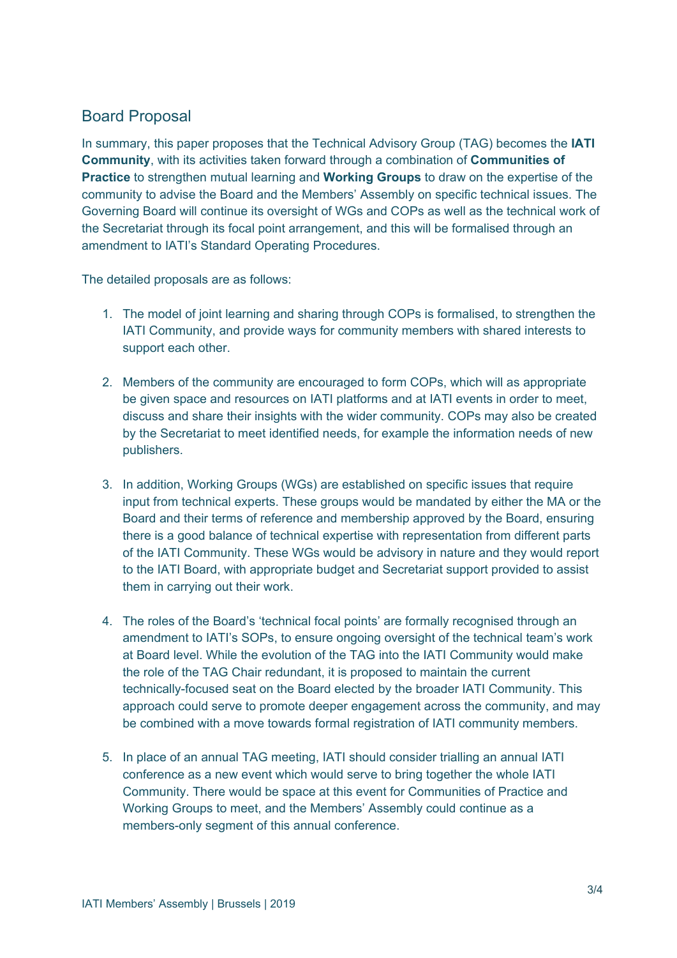## Board Proposal

In summary, this paper proposes that the Technical Advisory Group (TAG) becomes the **IATI Community**, with its activities taken forward through a combination of **Communities of Practice** to strengthen mutual learning and **Working Groups** to draw on the expertise of the community to advise the Board and the Members' Assembly on specific technical issues. The Governing Board will continue its oversight of WGs and COPs as well as the technical work of the Secretariat through its focal point arrangement, and this will be formalised through an amendment to IATI's Standard Operating Procedures.

The detailed proposals are as follows:

- 1. The model of joint learning and sharing through COPs is formalised, to strengthen the IATI Community, and provide ways for community members with shared interests to support each other.
- 2. Members of the community are encouraged to form COPs, which will as appropriate be given space and resources on IATI platforms and at IATI events in order to meet, discuss and share their insights with the wider community. COPs may also be created by the Secretariat to meet identified needs, for example the information needs of new publishers.
- 3. In addition, Working Groups (WGs) are established on specific issues that require input from technical experts. These groups would be mandated by either the MA or the Board and their terms of reference and membership approved by the Board, ensuring there is a good balance of technical expertise with representation from different parts of the IATI Community. These WGs would be advisory in nature and they would report to the IATI Board, with appropriate budget and Secretariat support provided to assist them in carrying out their work.
- 4. The roles of the Board's 'technical focal points' are formally recognised through an amendment to IATI's SOPs, to ensure ongoing oversight of the technical team's work at Board level. While the evolution of the TAG into the IATI Community would make the role of the TAG Chair redundant, it is proposed to maintain the current technically-focused seat on the Board elected by the broader IATI Community. This approach could serve to promote deeper engagement across the community, and may be combined with a move towards formal registration of IATI community members.
- 5. In place of an annual TAG meeting, IATI should consider trialling an annual IATI conference as a new event which would serve to bring together the whole IATI Community. There would be space at this event for Communities of Practice and Working Groups to meet, and the Members' Assembly could continue as a members-only segment of this annual conference.